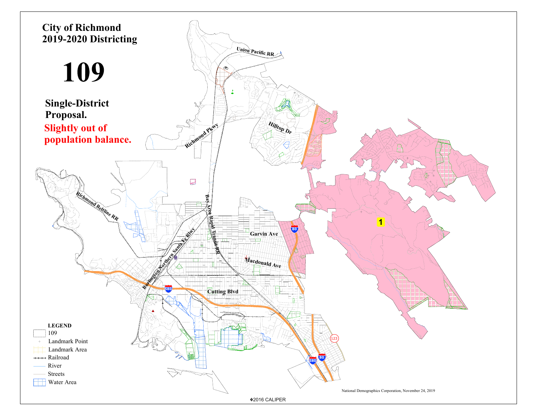